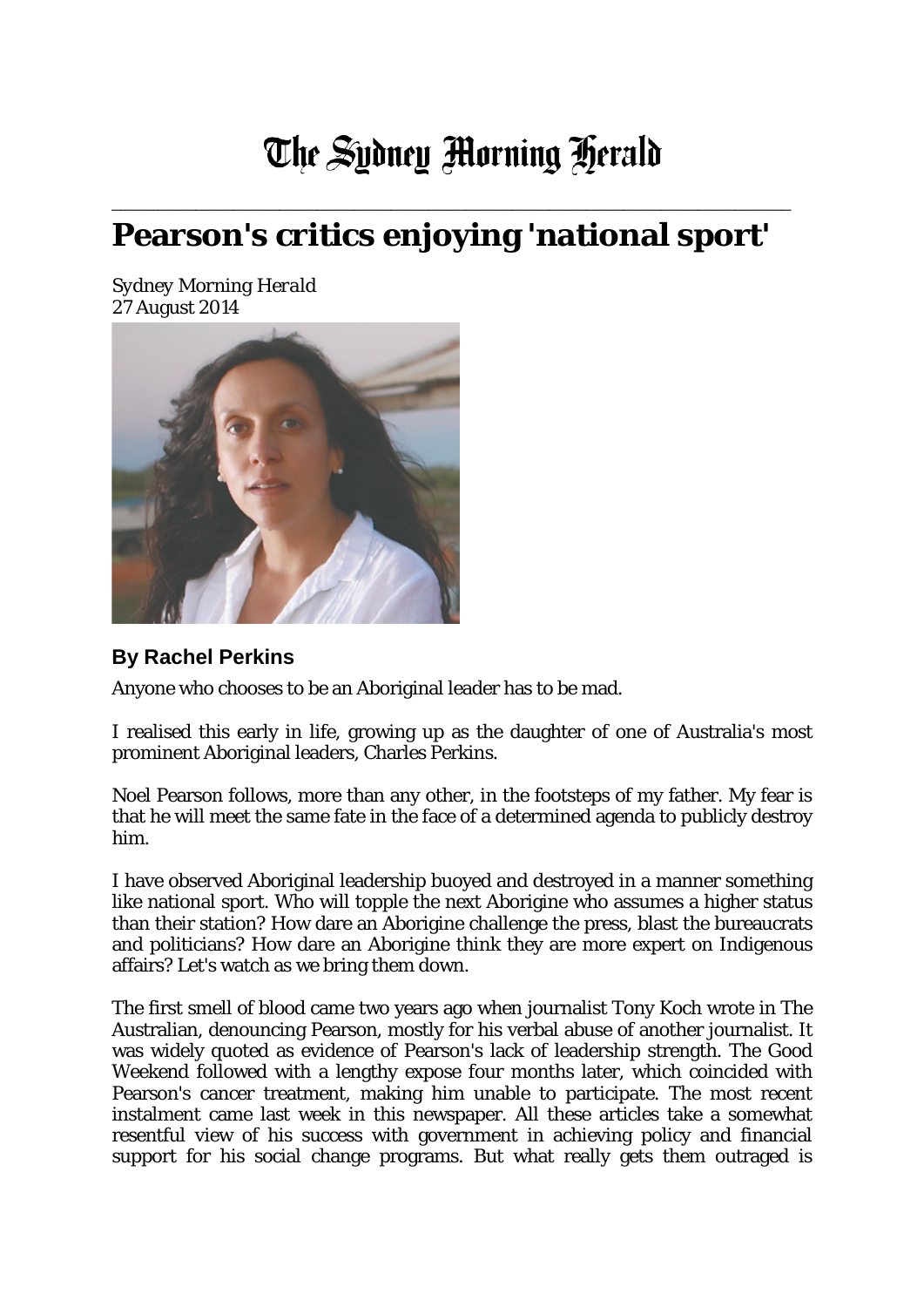## The Sydney Morning Herald

## **Pearson's critics enjoying 'national sport'**

\_\_\_\_\_\_\_\_\_\_\_\_\_\_\_\_\_\_\_\_\_\_\_\_\_\_\_\_\_\_\_\_\_\_\_\_\_\_\_\_\_\_\_\_\_\_\_\_\_\_\_\_\_\_\_\_\_\_\_\_\_\_\_\_\_\_\_\_\_\_\_\_\_

*Sydney Morning Herald* 27 August 2014



## **By Rachel Perkins**

Anyone who chooses to be an Aboriginal leader has to be mad.

I realised this early in life, growing up as the daughter of one of Australia's most prominent Aboriginal leaders, Charles Perkins.

Noel Pearson follows, more than any other, in the footsteps of my father. My fear is that he will meet the same fate in the face of a determined agenda to publicly destroy him.

I have observed Aboriginal leadership buoyed and destroyed in a manner something like national sport. Who will topple the next Aborigine who assumes a higher status than their station? How dare an Aborigine challenge the press, blast the bureaucrats and politicians? How dare an Aborigine think they are more expert on Indigenous affairs? Let's watch as we bring them down.

The first smell of blood came two years ago when journalist Tony Koch wrote in The Australian, denouncing Pearson, mostly for his verbal abuse of another journalist. It was widely quoted as evidence of Pearson's lack of leadership strength. The Good Weekend followed with a lengthy expose four months later, which coincided with Pearson's cancer treatment, making him unable to participate. The most recent instalment came last week in this newspaper. All these articles take a somewhat resentful view of his success with government in achieving policy and financial support for his social change programs. But what really gets them outraged is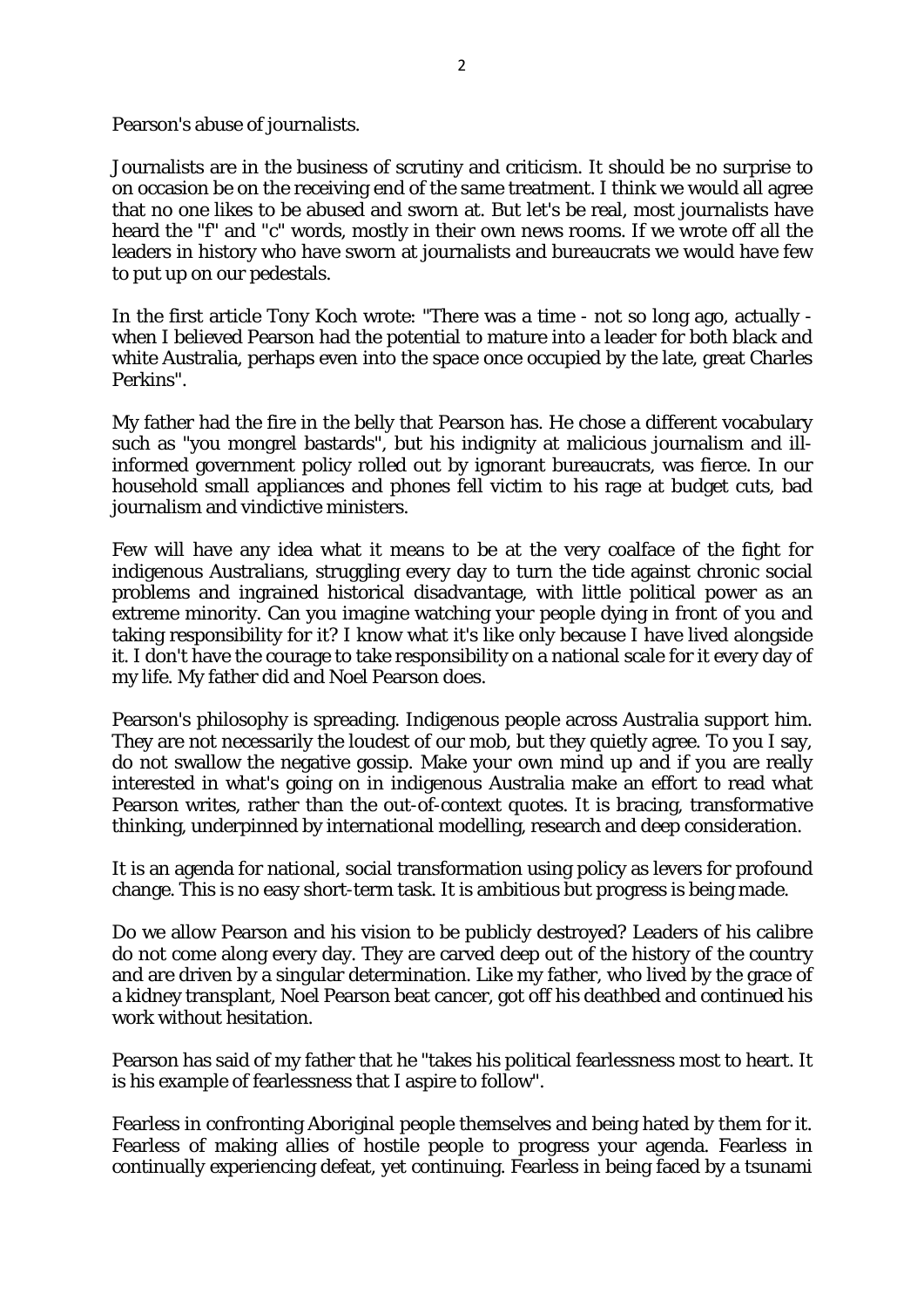Pearson's abuse of journalists.

Journalists are in the business of scrutiny and criticism. It should be no surprise to on occasion be on the receiving end of the same treatment. I think we would all agree that no one likes to be abused and sworn at. But let's be real, most journalists have heard the "f" and "c" words, mostly in their own news rooms. If we wrote off all the leaders in history who have sworn at journalists and bureaucrats we would have few to put up on our pedestals.

In the first article Tony Koch wrote: "There was a time - not so long ago, actually when I believed Pearson had the potential to mature into a leader for both black and white Australia, perhaps even into the space once occupied by the late, great Charles Perkins".

My father had the fire in the belly that Pearson has. He chose a different vocabulary such as "you mongrel bastards", but his indignity at malicious journalism and illinformed government policy rolled out by ignorant bureaucrats, was fierce. In our household small appliances and phones fell victim to his rage at budget cuts, bad journalism and vindictive ministers.

Few will have any idea what it means to be at the very coalface of the fight for indigenous Australians, struggling every day to turn the tide against chronic social problems and ingrained historical disadvantage, with little political power as an extreme minority. Can you imagine watching your people dying in front of you and taking responsibility for it? I know what it's like only because I have lived alongside it. I don't have the courage to take responsibility on a national scale for it every day of my life. My father did and Noel Pearson does.

Pearson's philosophy is spreading. Indigenous people across Australia support him. They are not necessarily the loudest of our mob, but they quietly agree. To you I say, do not swallow the negative gossip. Make your own mind up and if you are really interested in what's going on in indigenous Australia make an effort to read what Pearson writes, rather than the out-of-context quotes. It is bracing, transformative thinking, underpinned by international modelling, research and deep consideration.

It is an agenda for national, social transformation using policy as levers for profound change. This is no easy short-term task. It is ambitious but progress is being made.

Do we allow Pearson and his vision to be publicly destroyed? Leaders of his calibre do not come along every day. They are carved deep out of the history of the country and are driven by a singular determination. Like my father, who lived by the grace of a kidney transplant, Noel Pearson beat cancer, got off his deathbed and continued his work without hesitation.

Pearson has said of my father that he "takes his political fearlessness most to heart. It is his example of fearlessness that I aspire to follow".

Fearless in confronting Aboriginal people themselves and being hated by them for it. Fearless of making allies of hostile people to progress your agenda. Fearless in continually experiencing defeat, yet continuing. Fearless in being faced by a tsunami